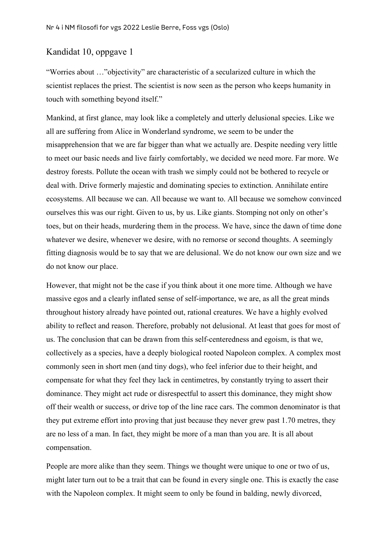## Kandidat 10, oppgave 1

"Worries about …"objectivity" are characteristic of a secularized culture in which the scientist replaces the priest. The scientist is now seen as the person who keeps humanity in touch with something beyond itself."

Mankind, at first glance, may look like a completely and utterly delusional species. Like we all are suffering from Alice in Wonderland syndrome, we seem to be under the misapprehension that we are far bigger than what we actually are. Despite needing very little to meet our basic needs and live fairly comfortably, we decided we need more. Far more. We destroy forests. Pollute the ocean with trash we simply could not be bothered to recycle or deal with. Drive formerly majestic and dominating species to extinction. Annihilate entire ecosystems. All because we can. All because we want to. All because we somehow convinced ourselves this was our right. Given to us, by us. Like giants. Stomping not only on other's toes, but on their heads, murdering them in the process. We have, since the dawn of time done whatever we desire, whenever we desire, with no remorse or second thoughts. A seemingly fitting diagnosis would be to say that we are delusional. We do not know our own size and we do not know our place.

However, that might not be the case if you think about it one more time. Although we have massive egos and a clearly inflated sense of self-importance, we are, as all the great minds throughout history already have pointed out, rational creatures. We have a highly evolved ability to reflect and reason. Therefore, probably not delusional. At least that goes for most of us. The conclusion that can be drawn from this self-centeredness and egoism, is that we, collectively as a species, have a deeply biological rooted Napoleon complex. A complex most commonly seen in short men (and tiny dogs), who feel inferior due to their height, and compensate for what they feel they lack in centimetres, by constantly trying to assert their dominance. They might act rude or disrespectful to assert this dominance, they might show off their wealth or success, or drive top of the line race cars. The common denominator is that they put extreme effort into proving that just because they never grew past 1.70 metres, they are no less of a man. In fact, they might be more of a man than you are. It is all about compensation.

People are more alike than they seem. Things we thought were unique to one or two of us, might later turn out to be a trait that can be found in every single one. This is exactly the case with the Napoleon complex. It might seem to only be found in balding, newly divorced,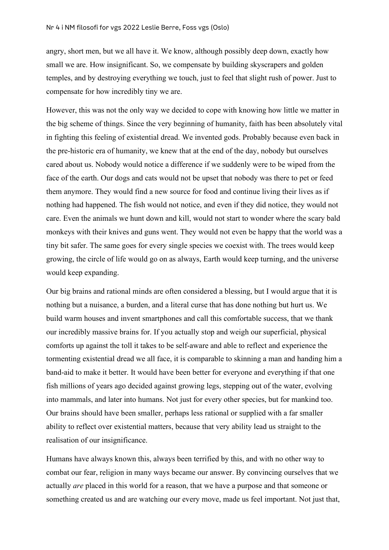angry, short men, but we all have it. We know, although possibly deep down, exactly how small we are. How insignificant. So, we compensate by building skyscrapers and golden temples, and by destroying everything we touch, just to feel that slight rush of power. Just to compensate for how incredibly tiny we are.

However, this was not the only way we decided to cope with knowing how little we matter in the big scheme of things. Since the very beginning of humanity, faith has been absolutely vital in fighting this feeling of existential dread. We invented gods. Probably because even back in the pre-historic era of humanity, we knew that at the end of the day, nobody but ourselves cared about us. Nobody would notice a difference if we suddenly were to be wiped from the face of the earth. Our dogs and cats would not be upset that nobody was there to pet or feed them anymore. They would find a new source for food and continue living their lives as if nothing had happened. The fish would not notice, and even if they did notice, they would not care. Even the animals we hunt down and kill, would not start to wonder where the scary bald monkeys with their knives and guns went. They would not even be happy that the world was a tiny bit safer. The same goes for every single species we coexist with. The trees would keep growing, the circle of life would go on as always, Earth would keep turning, and the universe would keep expanding.

Our big brains and rational minds are often considered a blessing, but I would argue that it is nothing but a nuisance, a burden, and a literal curse that has done nothing but hurt us. We build warm houses and invent smartphones and call this comfortable success, that we thank our incredibly massive brains for. If you actually stop and weigh our superficial, physical comforts up against the toll it takes to be self-aware and able to reflect and experience the tormenting existential dread we all face, it is comparable to skinning a man and handing him a band-aid to make it better. It would have been better for everyone and everything if that one fish millions of years ago decided against growing legs, stepping out of the water, evolving into mammals, and later into humans. Not just for every other species, but for mankind too. Our brains should have been smaller, perhaps less rational or supplied with a far smaller ability to reflect over existential matters, because that very ability lead us straight to the realisation of our insignificance.

Humans have always known this, always been terrified by this, and with no other way to combat our fear, religion in many ways became our answer. By convincing ourselves that we actually *are* placed in this world for a reason, that we have a purpose and that someone or something created us and are watching our every move, made us feel important. Not just that,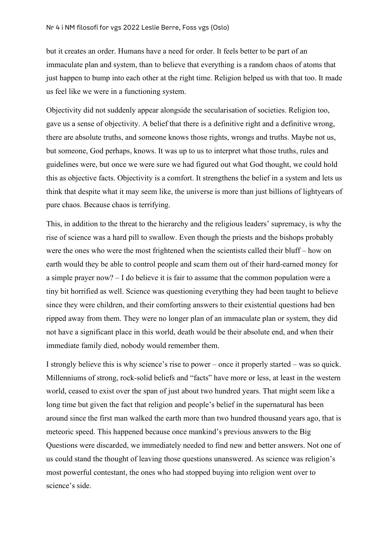but it creates an order. Humans have a need for order. It feels better to be part of an immaculate plan and system, than to believe that everything is a random chaos of atoms that just happen to bump into each other at the right time. Religion helped us with that too. It made us feel like we were in a functioning system.

Objectivity did not suddenly appear alongside the secularisation of societies. Religion too, gave us a sense of objectivity. A belief that there is a definitive right and a definitive wrong, there are absolute truths, and someone knows those rights, wrongs and truths. Maybe not us, but someone, God perhaps, knows. It was up to us to interpret what those truths, rules and guidelines were, but once we were sure we had figured out what God thought, we could hold this as objective facts. Objectivity is a comfort. It strengthens the belief in a system and lets us think that despite what it may seem like, the universe is more than just billions of lightyears of pure chaos. Because chaos is terrifying.

This, in addition to the threat to the hierarchy and the religious leaders' supremacy, is why the rise of science was a hard pill to swallow. Even though the priests and the bishops probably were the ones who were the most frightened when the scientists called their bluff – how on earth would they be able to control people and scam them out of their hard-earned money for a simple prayer now? – I do believe it is fair to assume that the common population were a tiny bit horrified as well. Science was questioning everything they had been taught to believe since they were children, and their comforting answers to their existential questions had ben ripped away from them. They were no longer plan of an immaculate plan or system, they did not have a significant place in this world, death would be their absolute end, and when their immediate family died, nobody would remember them.

I strongly believe this is why science's rise to power – once it properly started – was so quick. Millenniums of strong, rock-solid beliefs and "facts" have more or less, at least in the western world, ceased to exist over the span of just about two hundred years. That might seem like a long time but given the fact that religion and people's belief in the supernatural has been around since the first man walked the earth more than two hundred thousand years ago, that is meteoric speed. This happened because once mankind's previous answers to the Big Questions were discarded, we immediately needed to find new and better answers. Not one of us could stand the thought of leaving those questions unanswered. As science was religion's most powerful contestant, the ones who had stopped buying into religion went over to science's side.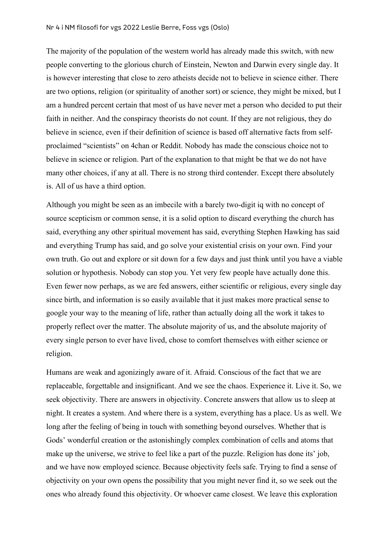The majority of the population of the western world has already made this switch, with new people converting to the glorious church of Einstein, Newton and Darwin every single day. It is however interesting that close to zero atheists decide not to believe in science either. There are two options, religion (or spirituality of another sort) or science, they might be mixed, but I am a hundred percent certain that most of us have never met a person who decided to put their faith in neither. And the conspiracy theorists do not count. If they are not religious, they do believe in science, even if their definition of science is based off alternative facts from selfproclaimed "scientists" on 4chan or Reddit. Nobody has made the conscious choice not to believe in science or religion. Part of the explanation to that might be that we do not have many other choices, if any at all. There is no strong third contender. Except there absolutely is. All of us have a third option.

Although you might be seen as an imbecile with a barely two-digit iq with no concept of source scepticism or common sense, it is a solid option to discard everything the church has said, everything any other spiritual movement has said, everything Stephen Hawking has said and everything Trump has said, and go solve your existential crisis on your own. Find your own truth. Go out and explore or sit down for a few days and just think until you have a viable solution or hypothesis. Nobody can stop you. Yet very few people have actually done this. Even fewer now perhaps, as we are fed answers, either scientific or religious, every single day since birth, and information is so easily available that it just makes more practical sense to google your way to the meaning of life, rather than actually doing all the work it takes to properly reflect over the matter. The absolute majority of us, and the absolute majority of every single person to ever have lived, chose to comfort themselves with either science or religion.

Humans are weak and agonizingly aware of it. Afraid. Conscious of the fact that we are replaceable, forgettable and insignificant. And we see the chaos. Experience it. Live it. So, we seek objectivity. There are answers in objectivity. Concrete answers that allow us to sleep at night. It creates a system. And where there is a system, everything has a place. Us as well. We long after the feeling of being in touch with something beyond ourselves. Whether that is Gods' wonderful creation or the astonishingly complex combination of cells and atoms that make up the universe, we strive to feel like a part of the puzzle. Religion has done its' job, and we have now employed science. Because objectivity feels safe. Trying to find a sense of objectivity on your own opens the possibility that you might never find it, so we seek out the ones who already found this objectivity. Or whoever came closest. We leave this exploration